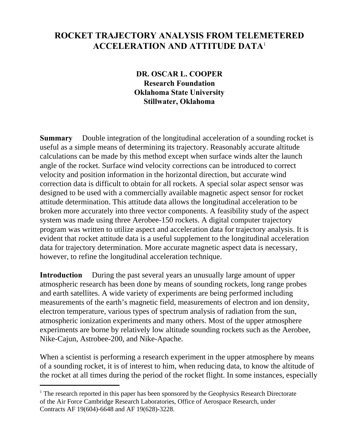## **ROCKET TRAJECTORY ANALYSIS FROM TELEMETERED ACCELERATION AND ATTITUDE DATA**<sup>1</sup>

**DR. OSCAR L. COOPER Research Foundation Oklahoma State University Stillwater, Oklahoma**

**Summary** Double integration of the longitudinal acceleration of a sounding rocket is useful as a simple means of determining its trajectory. Reasonably accurate altitude calculations can be made by this method except when surface winds alter the launch angle of the rocket. Surface wind velocity corrections can be introduced to correct velocity and position information in the horizontal direction, but accurate wind correction data is difficult to obtain for all rockets. A special solar aspect sensor was designed to be used with a commercially available magnetic aspect sensor for rocket attitude determination. This attitude data allows the longitudinal acceleration to be broken more accurately into three vector components. A feasibility study of the aspect system was made using three Aerobee-150 rockets. A digital computer trajectory program was written to utilize aspect and acceleration data for trajectory analysis. It is evident that rocket attitude data is a useful supplement to the longitudinal acceleration data for trajectory determination. More accurate magnetic aspect data is necessary, however, to refine the longitudinal acceleration technique.

**Introduction** During the past several years an unusually large amount of upper atmospheric research has been done by means of sounding rockets, long range probes and earth satellites. A wide variety of experiments are being performed including measurements of the earth's magnetic field, measurements of electron and ion density, electron temperature, various types of spectrum analysis of radiation from the sun, atmospheric ionization experiments and many others. Most of the upper atmosphere experiments are borne by relatively low altitude sounding rockets such as the Aerobee, Nike-Cajun, Astrobee-200, and Nike-Apache.

When a scientist is performing a research experiment in the upper atmosphere by means of a sounding rocket, it is of interest to him, when reducing data, to know the altitude of the rocket at all times during the period of the rocket flight. In some instances, especially

<sup>&</sup>lt;sup>1</sup> The research reported in this paper has been sponsored by the Geophysics Research Directorate of the Air Force Cambridge Research Laboratories, Office of Aerospace Research, under Contracts AF 19(604)-6648 and AF 19(628)-3228.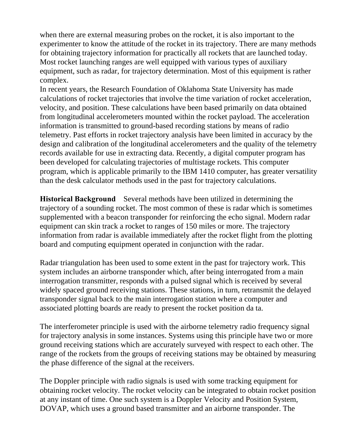when there are external measuring probes on the rocket, it is also important to the experimenter to know the attitude of the rocket in its trajectory. There are many methods for obtaining trajectory information for practically all rockets that are launched today. Most rocket launching ranges are well equipped with various types of auxiliary equipment, such as radar, for trajectory determination. Most of this equipment is rather complex.

In recent years, the Research Foundation of Oklahoma State University has made calculations of rocket trajectories that involve the time variation of rocket acceleration, velocity, and position. These calculations have been based primarily on data obtained from longitudinal accelerometers mounted within the rocket payload. The acceleration information is transmitted to ground-based recording stations by means of radio telemetry. Past efforts in rocket trajectory analysis have been limited in accuracy by the design and calibration of the longitudinal accelerometers and the quality of the telemetry records available for use in extracting data. Recently, a digital computer program has been developed for calculating trajectories of multistage rockets. This computer program, which is applicable primarily to the IBM 1410 computer, has greater versatility than the desk calculator methods used in the past for trajectory calculations.

**Historical Background** Several methods have been utilized in determining the trajectory of a sounding rocket. The most common of these is radar which is sometimes supplemented with a beacon transponder for reinforcing the echo signal. Modern radar equipment can skin track a rocket to ranges of 150 miles or more. The trajectory information from radar is available immediately after the rocket flight from the plotting board and computing equipment operated in conjunction with the radar.

Radar triangulation has been used to some extent in the past for trajectory work. This system includes an airborne transponder which, after being interrogated from a main interrogation transmitter, responds with a pulsed signal which is received by several widely spaced ground receiving stations. These stations, in turn, retransmit the delayed transponder signal back to the main interrogation station where a computer and associated plotting boards are ready to present the rocket position da ta.

The interferometer principle is used with the airborne telemetry radio frequency signal for trajectory analysis in some instances. Systems using this principle have two or more ground receiving stations which are accurately surveyed with respect to each other. The range of the rockets from the groups of receiving stations may be obtained by measuring the phase difference of the signal at the receivers.

The Doppler principle with radio signals is used with some tracking equipment for obtaining rocket velocity. The rocket velocity can be integrated to obtain rocket position at any instant of time. One such system is a Doppler Velocity and Position System, DOVAP, which uses a ground based transmitter and an airborne transponder. The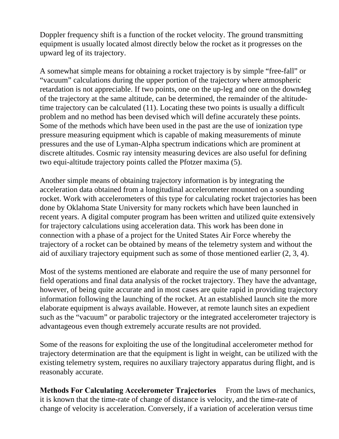Doppler frequency shift is a function of the rocket velocity. The ground transmitting equipment is usually located almost directly below the rocket as it progresses on the upward leg of its trajectory.

A somewhat simple means for obtaining a rocket trajectory is by simple "free-fall" or "vacuum" calculations during the upper portion of the trajectory where atmospheric retardation is not appreciable. If two points, one on the up-leg and one on the down4eg of the trajectory at the same altitude, can be determined, the remainder of the altitudetime trajectory can be calculated (11). Locating these two points is usually a difficult problem and no method has been devised which will define accurately these points. Some of the methods which have been used in the past are the use of ionization type pressure measuring equipment which is capable of making measurements of minute pressures and the use of Lyman-Alpha spectrum indications which are prominent at discrete altitudes. Cosmic ray intensity measuring devices are also useful for defining two equi-altitude trajectory points called the Pfotzer maxima (5).

Another simple means of obtaining trajectory information is by integrating the acceleration data obtained from a longitudinal accelerometer mounted on a sounding rocket. Work with accelerometers of this type for calculating rocket trajectories has been done by Oklahoma State University for many rockets which have been launched in recent years. A digital computer program has been written and utilized quite extensively for trajectory calculations using acceleration data. This work has been done in connection with a phase of a project for the United States Air Force whereby the trajectory of a rocket can be obtained by means of the telemetry system and without the aid of auxiliary trajectory equipment such as some of those mentioned earlier (2, 3, 4).

Most of the systems mentioned are elaborate and require the use of many personnel for field operations and final data analysis of the rocket trajectory. They have the advantage, however, of being quite accurate and in most cases are quite rapid in providing trajectory information following the launching of the rocket. At an established launch site the more elaborate equipment is always available. However, at remote launch sites an expedient such as the "vacuum" or parabolic trajectory or the integrated accelerometer trajectory is advantageous even though extremely accurate results are not provided.

Some of the reasons for exploiting the use of the longitudinal accelerometer method for trajectory determination are that the equipment is light in weight, can be utilized with the existing telemetry system, requires no auxiliary trajectory apparatus during flight, and is reasonably accurate.

**Methods For Calculating Accelerometer Trajectories** From the laws of mechanics, it is known that the time-rate of change of distance is velocity, and the time-rate of change of velocity is acceleration. Conversely, if a variation of acceleration versus time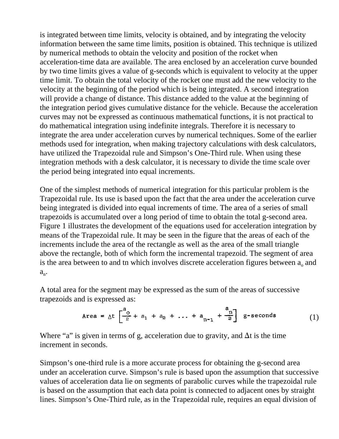is integrated between time limits, velocity is obtained, and by integrating the velocity information between the same time limits, position is obtained. This technique is utilized by numerical methods to obtain the velocity and position of the rocket when acceleration-time data are available. The area enclosed by an acceleration curve bounded by two time limits gives a value of g-seconds which is equivalent to velocity at the upper time limit. To obtain the total velocity of the rocket one must add the new velocity to the velocity at the beginning of the period which is being integrated. A second integration will provide a change of distance. This distance added to the value at the beginning of the integration period gives cumulative distance for the vehicle. Because the acceleration curves may not be expressed as continuous mathematical functions, it is not practical to do mathematical integration using indefinite integrals. Therefore it is necessary to integrate the area under acceleration curves by numerical techniques. Some of the earlier methods used for integration, when making trajectory calculations with desk calculators, have utilized the Trapezoidal rule and Simpson's One-Third rule. When using these integration methods with a desk calculator, it is necessary to divide the time scale over the period being integrated into equal increments.

One of the simplest methods of numerical integration for this particular problem is the Trapezoidal rule. Its use is based upon the fact that the area under the acceleration curve being integrated is divided into equal increments of time. The area of a series of small trapezoids is accumulated over a long period of time to obtain the total g-second area. Figure 1 illustrates the development of the equations used for acceleration integration by means of the Trapezoidal rule. It may be seen in the figure that the areas of each of the increments include the area of the rectangle as well as the area of the small triangle above the rectangle, both of which form the incremental trapezoid. The segment of area is the area between to and tn which involves discrete acceleration figures between  $a_0$  and  $a_{n}$ .

A total area for the segment may be expressed as the sum of the areas of successive trapezoids and is expressed as:

Area = 
$$
\Delta t \left[ \frac{a_0}{2} + a_1 + a_2 + ... + a_{n-1} + \frac{a_n}{2} \right]
$$
 g - seconds (1)

Where "a" is given in terms of g, acceleration due to gravity, and  $\Delta t$  is the time increment in seconds.

Simpson's one-third rule is a more accurate process for obtaining the g-second area under an acceleration curve. Simpson's rule is based upon the assumption that successive values of acceleration data lie on segments of parabolic curves while the trapezoidal rule is based on the assumption that each data point is connected to adjacent ones by straight lines. Simpson's One-Third rule, as in the Trapezoidal rule, requires an equal division of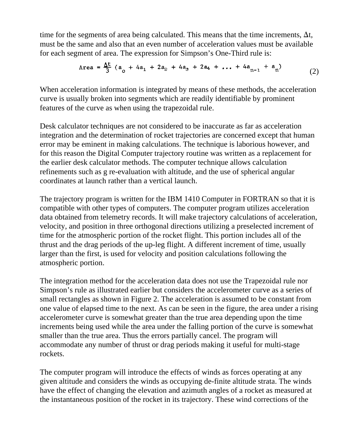time for the segments of area being calculated. This means that the time increments,  $\Delta t$ , must be the same and also that an even number of acceleration values must be available for each segment of area. The expression for Simpson's One-Third rule is:

Area = 
$$
\frac{\Delta t}{3}
$$
 (a<sub>o</sub> + 4a<sub>1</sub> + 2a<sub>2</sub> + 4a<sub>3</sub> + 2a<sub>4</sub> + ... + 4a<sub>n-1</sub> + a<sub>n</sub>) (2)

When acceleration information is integrated by means of these methods, the acceleration curve is usually broken into segments which are readily identifiable by prominent features of the curve as when using the trapezoidal rule.

Desk calculator techniques are not considered to be inaccurate as far as acceleration integration and the determination of rocket trajectories are concerned except that human error may be eminent in making calculations. The technique is laborious however, and for this reason the Digital Computer trajectory routine was written as a replacement for the earlier desk calculator methods. The computer technique allows calculation refinements such as g re-evaluation with altitude, and the use of spherical angular coordinates at launch rather than a vertical launch.

The trajectory program is written for the IBM 1410 Computer in FORTRAN so that it is compatible with other types of computers. The computer program utilizes acceleration data obtained from telemetry records. It will make trajectory calculations of acceleration, velocity, and position in three orthogonal directions utilizing a preselected increment of time for the atmospheric portion of the rocket flight. This portion includes all of the thrust and the drag periods of the up-leg flight. A different increment of time, usually larger than the first, is used for velocity and position calculations following the atmospheric portion.

The integration method for the acceleration data does not use the Trapezoidal rule nor Simpson's rule as illustrated earlier but considers the accelerometer curve as a series of small rectangles as shown in Figure 2. The acceleration is assumed to be constant from one value of elapsed time to the next. As can be seen in the figure, the area under a rising accelerometer curve is somewhat greater than the true area depending upon the time increments being used while the area under the falling portion of the curve is somewhat smaller than the true area. Thus the errors partially cancel. The program will accommodate any number of thrust or drag periods making it useful for multi-stage rockets.

The computer program will introduce the effects of winds as forces operating at any given altitude and considers the winds as occupying de-finite altitude strata. The winds have the effect of changing the elevation and azimuth angles of a rocket as measured at the instantaneous position of the rocket in its trajectory. These wind corrections of the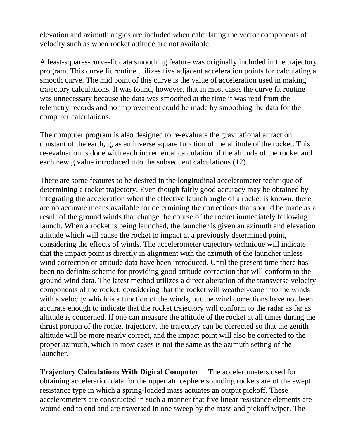elevation and azimuth angles are included when calculating the vector components of velocity such as when rocket attitude are not available.

A least-squares-curve-fit data smoothing feature was originally included in the trajectory program. This curve fit routine utilizes five adjacent acceleration points for calculating a smooth curve. The mid point of this curve is the value of acceleration used in making trajectory calculations. It was found, however, that in most cases the curve fit routine was unnecessary because the data was smoothed at the time it was read from the telemetry records and no improvement could be made by smoothing the data for the computer calculations.

The computer program is also designed to re-evaluate the gravitational attraction constant of the earth, g, as an inverse square function of the altitude of the rocket. This re-evaluation is done with each incremental calculation of the altitude of the rocket and each new g value introduced into the subsequent calculations (12).

There are some features to be desired in the longitudinal accelerometer technique of determining a rocket trajectory. Even though fairly good accuracy may be obtained by integrating the acceleration when the effective launch angle of a rocket is known, there are no accurate means available for determining the corrections that should be made as a result of the ground winds that change the course of the rocket immediately following launch. When a rocket is being launched, the launcher is given an azimuth and elevation attitude which will cause the rocket to impact at a previously determined point, considering the effects of winds. The accelerometer trajectory technique will indicate that the impact point is directly in alignment with the azimuth of the launcher unless wind correction or attitude data have been introduced. Until the present time there has been no definite scheme for providing good attitude correction that will conform to the ground wind data. The latest method utilizes a direct alteration of the transverse velocity components of the rocket, considering that the rocket will weather-vane into the winds with a velocity which is a function of the winds, but the wind corrections have not been accurate enough to indicate that the rocket trajectory will conform to the radar as far as altitude is concerned. If one can measure the attitude of the rocket at all times during the thrust portion of the rocket trajectory, the trajectory can be corrected so that the zenith altitude will be more nearly correct, and the impact point will also be corrected to the proper azimuth, which in most cases is not the same as the azimuth setting of the launcher.

**Trajectory Calculations With Digital Computer** The accelerometers used for obtaining acceleration data for the upper atmosphere sounding rockets are of the swept resistance type in which a spring-loaded mass actuates an output pickoff. These accelerometers are constructed in such a manner that five linear resistance elements are wound end to end and are traversed in one sweep by the mass and pickoff wiper. The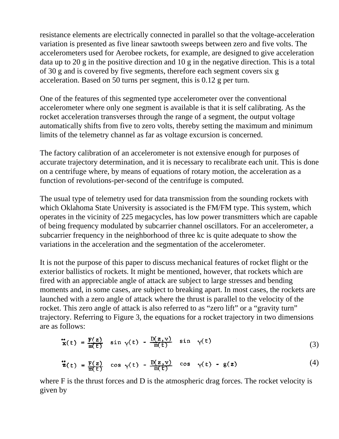resistance elements are electrically connected in parallel so that the voltage-acceleration variation is presented as five linear sawtooth sweeps between zero and five volts. The accelerometers used for Aerobee rockets, for example, are designed to give acceleration data up to 20 g in the positive direction and 10 g in the negative direction. This is a total of 30 g and is covered by five segments, therefore each segment covers six g acceleration. Based on 50 turns per segment, this is 0.12 g per turn.

One of the features of this segmented type accelerometer over the conventional accelerometer where only one segment is available is that it is self calibrating. As the rocket acceleration transverses through the range of a segment, the output voltage automatically shifts from five to zero volts, thereby setting the maximum and minimum limits of the telemetry channel as far as voltage excursion is concerned.

The factory calibration of an accelerometer is not extensive enough for purposes of accurate trajectory determination, and it is necessary to recalibrate each unit. This is done on a centrifuge where, by means of equations of rotary motion, the acceleration as a function of revolutions-per-second of the centrifuge is computed.

The usual type of telemetry used for data transmission from the sounding rockets with which Oklahoma State University is associated is the FM/FM type. This system, which operates in the vicinity of 225 megacycles, has low power transmitters which are capable of being frequency modulated by subcarrier channel oscillators. For an accelerometer, a subcarrier frequency in the neighborhood of three kc is quite adequate to show the variations in the acceleration and the segmentation of the accelerometer.

It is not the purpose of this paper to discuss mechanical features of rocket flight or the exterior ballistics of rockets. It might be mentioned, however, that rockets which are fired with an appreciable angle of attack are subject to large stresses and bending moments and, in some cases, are subject to breaking apart. In most cases, the rockets are launched with a zero angle of attack where the thrust is parallel to the velocity of the rocket. This zero angle of attack is also referred to as "zero lift" or a "gravity turn" trajectory. Referring to Figure 3, the equations for a rocket trajectory in two dimensions are as follows:

$$
\mathbf{x}(t) = \frac{\mathbf{F}(z)}{\mathbf{m}(t)} \sin \gamma(t) - \frac{\mathbf{D}(z, \mathbf{v})}{\mathbf{m}(t)} \sin \gamma(t) \tag{3}
$$

$$
\ddot{\ddot{\mathbf{z}}}(t) = \frac{F(z)}{m(t)} \quad \cos \gamma(t) - \frac{D(z, v)}{m(t)} \quad \cos \gamma(t) - g(z) \tag{4}
$$

where F is the thrust forces and D is the atmospheric drag forces. The rocket velocity is given by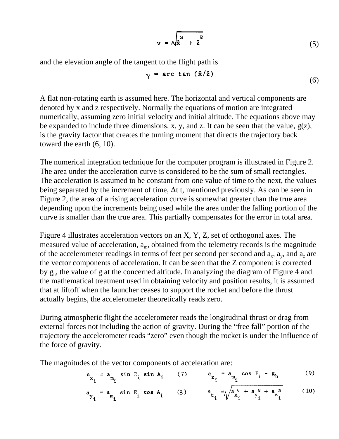$$
\mathbf{v} = \sqrt{\dot{\mathbf{x}}^2 + \dot{\mathbf{z}}^2} \tag{5}
$$

and the elevation angle of the tangent to the flight path is

$$
\gamma = \arctan\left(\frac{\dot{x}}{2}\right) \tag{6}
$$

A flat non-rotating earth is assumed here. The horizontal and vertical components are denoted by x and z respectively. Normally the equations of motion are integrated numerically, assuming zero initial velocity and initial altitude. The equations above may be expanded to include three dimensions, x, y, and z. It can be seen that the value,  $g(z)$ , is the gravity factor that creates the turning moment that directs the trajectory back toward the earth (6, 10).

The numerical integration technique for the computer program is illustrated in Figure 2. The area under the acceleration curve is considered to be the sum of small rectangles. The acceleration is assumed to be constant from one value of time to the next, the values being separated by the increment of time,  $\Delta t$  t, mentioned previously. As can be seen in Figure 2, the area of a rising acceleration curve is somewhat greater than the true area depending upon the increments being used while the area under the falling portion of the curve is smaller than the true area. This partially compensates for the error in total area.

Figure 4 illustrates acceleration vectors on an X, Y, Z, set of orthogonal axes. The measured value of acceleration,  $a_m$ , obtained from the telemetry records is the magnitude of the accelerometer readings in terms of feet per second per second and  $a_x$ ,  $a_y$ , and  $a_z$  are the vector components of acceleration. It can be seen that the Z component is corrected by g<sup>h</sup> , the value of g at the concerned altitude. In analyzing the diagram of Figure 4 and the mathematical treatment used in obtaining velocity and position results, it is assumed that at liftoff when the launcher ceases to support the rocket and before the thrust actually begins, the accelerometer theoretically reads zero.

During atmospheric flight the accelerometer reads the longitudinal thrust or drag from external forces not including the action of gravity. During the "free fall" portion of the trajectory the accelerometer reads "zero" even though the rocket is under the influence of the force of gravity.

The magnitudes of the vector components of acceleration are:

$$
a_{x_i} = a_{m_i} \sin E_i \sin A_i \qquad (7) \qquad a_{z_i} = a_{m_i} \cos E_i - g_h \qquad (9)
$$

$$
a_{y_i} = a_{m_i} \sin E_i \cos A_i \qquad (8) \qquad a_{t_i} = \sqrt{a_{x_i}^2 + a_{y_i}^2 + a_{z_i}^2} \qquad (10)
$$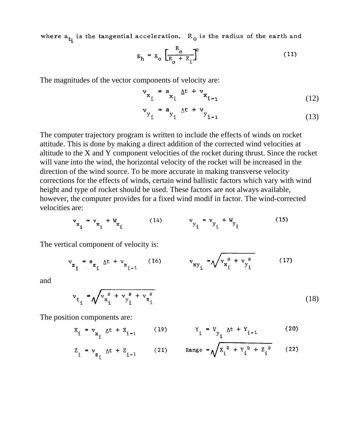where  $a_{t_i}$  is the tangential acceleration.  $R_o$  is the radius of the earth and

$$
g_h = g_o \left[ \frac{R_o}{R_o + Z_i} \right]^2 \tag{11}
$$

The magnitudes of the vector components of velocity are:

$$
\mathbf{v}_{\mathbf{x}_i} = \mathbf{a}_{\mathbf{x}_i} \Delta t + \mathbf{v}_{\mathbf{x}_{i-1}}
$$
 (12)

$$
\mathbf{v}_{\mathbf{y}_{i}} = \mathbf{a}_{\mathbf{y}_{i}} \Delta t + \mathbf{v}_{\mathbf{y}_{i-1}}
$$
 (13)

The computer trajectory program is written to include the effects of winds on rocket attitude. This is done by making a direct addition of the corrected wind velocities at altitude to the X and Y component velocities of the rocket during thrust. Since the rocket will vane into the wind, the horizontal velocity of the rocket will be increased in the direction of the wind source. To be more accurate in making transverse velocity corrections for the effects of winds, certain wind ballistic factors which vary with wind height and type of rocket should be used. These factors are not always available, however, the computer provides for a fixed wind modif in factor. The wind-corrected velocities are:

$$
v_{x_i} = v_{x_i} + W_{x_i}
$$
 (14)  $v_{y_i} = v_{y_i} + W_{y_i}$  (15)

The vertical component of velocity is:

$$
v_{z_i} = a_{z_i} \Delta t + v_{z_{i-1}} \qquad (16) \qquad v_{xy_i} = \sqrt{v_{x_i}^2 + v_{y_i}^2} \qquad (17)
$$

and

$$
\mathbf{v}_{t_{i}} \triangleq \sqrt{\mathbf{v}_{x_{i}}^{2} + \mathbf{v}_{y_{i}}^{2} + \mathbf{v}_{z_{i}}^{2}}
$$
 (18)

The position components are:

$$
X_{i} = v_{X_{i}} \Delta t + X_{i-1} \qquad (19) \qquad Y_{i} = V_{Y_{i}} \Delta t + Y_{i-1} \qquad (20)
$$

$$
Z_{i} = v_{z_{i}} \Delta t + Z_{i-1}
$$
 (21) Range =  $\sqrt{X_{i}^{2} + Y_{i}^{2} + Z_{i}^{2}}$  (22)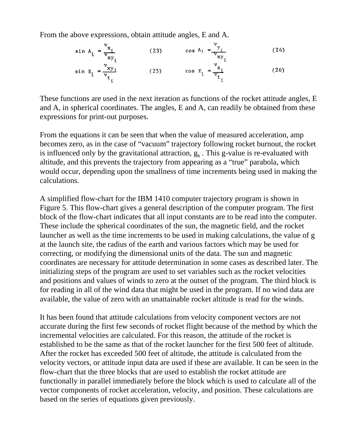From the above expressions, obtain attitude angles, E and A.

$$
\sin A_{i} = \frac{v_{x_{i}}}{v_{x}y_{i}}
$$
\n(23)  $\cos A_{i} = \frac{v_{y_{i}}}{v_{x}y_{i}}$ \n(24)\n  
\n
$$
\sin E_{i} = \frac{v_{x}y_{i}}{v_{t}} \qquad (25) \qquad \cos E_{i} = \frac{v_{z_{i}}}{v_{t}} \qquad (26)
$$

These functions are used in the next iteration as functions of the rocket attitude angles, E and A, in spherical coordinates. The angles, E and A, can readily be obtained from these expressions for print-out purposes.

From the equations it can be seen that when the value of measured acceleration, amp becomes zero, as in the case of "vacuum" trajectory following rocket burnout, the rocket is influenced only by the gravitational attraction,  $g<sub>h</sub>$ . This g-value is re-evaluated with altitude, and this prevents the trajectory from appearing as a "true" parabola, which would occur, depending upon the smallness of time increments being used in making the calculations.

A simplified flow-chart for the IBM 1410 computer trajectory program is shown in Figure 5. This flow-chart gives a general description of the computer program. The first block of the flow-chart indicates that all input constants are to be read into the computer. These include the spherical coordinates of the sun, the magnetic field, and the rocket launcher as well as the time increments to be used in making calculations, the value of g at the launch site, the radius of the earth and various factors which may be used for correcting, or modifying the dimensional units of the data. The sun and magnetic coordinates are necessary for attitude determination in some cases as described later. The initializing steps of the program are used to set variables such as the rocket velocities and positions and values of winds to zero at the outset of the program. The third block is for reading in all of the wind data that might be used in the program. If no wind data are available, the value of zero with an unattainable rocket altitude is read for the winds.

It has been found that attitude calculations from velocity component vectors are not accurate during the first few seconds of rocket flight because of the method by which the incremental velocities are calculated. For this reason, the attitude of the rocket is established to be the same as that of the rocket launcher for the first 500 feet of altitude. After the rocket has exceeded 500 feet of altitude, the attitude is calculated from the velocity vectors, or attitude input data are used if these are available. It can be seen in the flow-chart that the three blocks that are used to establish the rocket attitude are functionally in parallel immediately before the block which is used to calculate all of the vector components of rocket acceleration, velocity, and position. These calculations are based on the series of equations given previously.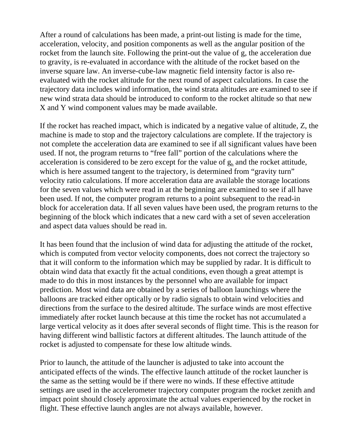After a round of calculations has been made, a print-out listing is made for the time, acceleration, velocity, and position components as well as the angular position of the rocket from the launch site. Following the print-out the value of g, the acceleration due to gravity, is re-evaluated in accordance with the altitude of the rocket based on the inverse square law. An inverse-cube-law magnetic field intensity factor is also reevaluated with the rocket altitude for the next round of aspect calculations. In case the trajectory data includes wind information, the wind strata altitudes are examined to see if new wind strata data should be introduced to conform to the rocket altitude so that new X and Y wind component values may be made available.

If the rocket has reached impact, which is indicated by a negative value of altitude, Z, the machine is made to stop and the trajectory calculations are complete. If the trajectory is not complete the acceleration data are examined to see if all significant values have been used. If not, the program returns to "free fall" portion of the calculations where the acceleration is considered to be zero except for the value of  $g<sub>h</sub>$  and the rocket attitude, which is here assumed tangent to the trajectory, is determined from "gravity turn" velocity ratio calculations. If more acceleration data are available the storage locations for the seven values which were read in at the beginning are examined to see if all have been used. If not, the computer program returns to a point subsequent to the read-in block for acceleration data. If all seven values have been used, the program returns to the beginning of the block which indicates that a new card with a set of seven acceleration and aspect data values should be read in.

It has been found that the inclusion of wind data for adjusting the attitude of the rocket, which is computed from vector velocity components, does not correct the trajectory so that it will conform to the information which may be supplied by radar. It is difficult to obtain wind data that exactly fit the actual conditions, even though a great attempt is made to do this in most instances by the personnel who are available for impact prediction. Most wind data are obtained by a series of balloon launchings where the balloons are tracked either optically or by radio signals to obtain wind velocities and directions from the surface to the desired altitude. The surface winds are most effective immediately after rocket launch because at this time the rocket has not accumulated a large vertical velocity as it does after several seconds of flight time. This is the reason for having different wind ballistic factors at different altitudes. The launch attitude of the rocket is adjusted to compensate for these low altitude winds.

Prior to launch, the attitude of the launcher is adjusted to take into account the anticipated effects of the winds. The effective launch attitude of the rocket launcher is the same as the setting would be if there were no winds. If these effective attitude settings are used in the accelerometer trajectory computer program the rocket zenith and impact point should closely approximate the actual values experienced by the rocket in flight. These effective launch angles are not always available, however.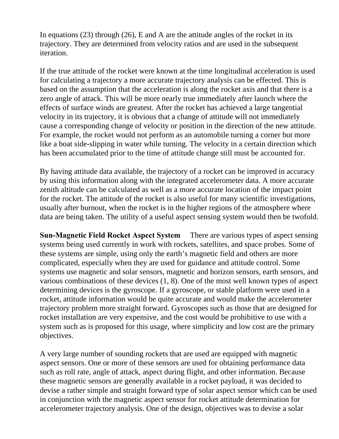In equations (23) through (26), E and A are the attitude angles of the rocket in its trajectory. They are determined from velocity ratios and are used in the subsequent iteration.

If the true attitude of the rocket were known at the time longitudinal acceleration is used for calculating a trajectory a more accurate trajectory analysis can be effected. This is based on the assumption that the acceleration is along the rocket axis and that there is a zero angle of attack. This will be more nearly true immediately after launch where the effects of surface winds are greatest. After the rocket has achieved a large tangential velocity in its trajectory, it is obvious that a change of attitude will not immediately cause a corresponding change of velocity or position in the direction of the new attitude. For example, the rocket would not perform as an automobile turning a corner but more like a boat side-slipping in water while turning. The velocity in a certain direction which has been accumulated prior to the time of attitude change still must be accounted for.

By having attitude data available, the trajectory of a rocket can be improved in accuracy by using this information along with the integrated accelerometer data. A more accurate zenith altitude can be calculated as well as a more accurate location of the impact point for the rocket. The attitude of the rocket is also useful for many scientific investigations, usually after burnout, when the rocket is in the higher regions of the atmosphere where data are being taken. The utility of a useful aspect sensing system would then be twofold.

**Sun-Magnetic Field Rocket Aspect System** There are various types of aspect sensing systems being used currently in work with rockets, satellites, and space probes. Some of these systems are simple, using only the earth's magnetic field and others are more complicated, especially when they are used for guidance and attitude control. Some systems use magnetic and solar sensors, magnetic and horizon sensors, earth sensors, and various combinations of these devices (1, 8). One of the most well known types of aspect determining devices is the gyroscope. If a gyroscope, or stable platform were used in a rocket, attitude information would be quite accurate and would make the accelerometer trajectory problem more straight forward. Gyroscopes such as those that are designed for rocket installation are very expensive, and the cost would be prohibitive to use with a system such as is proposed for this usage, where simplicity and low cost are the primary objectives.

A very large number of sounding rockets that are used are equipped with magnetic aspect sensors. One or more of these sensors are used for obtaining performance data such as roll rate, angle of attack, aspect during flight, and other information. Because these magnetic sensors are generally available in a rocket payload, it was decided to devise a rather simple and straight forward type of solar aspect sensor which can be used in conjunction with the magnetic aspect sensor for rocket attitude determination for accelerometer trajectory analysis. One of the design, objectives was to devise a solar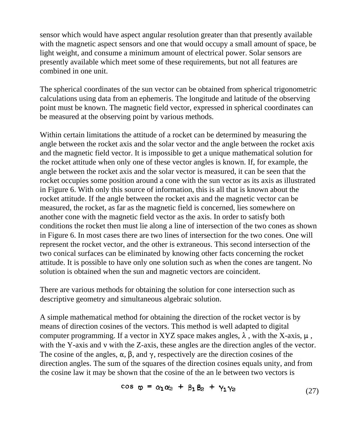sensor which would have aspect angular resolution greater than that presently available with the magnetic aspect sensors and one that would occupy a small amount of space, be light weight, and consume a minimum amount of electrical power. Solar sensors are presently available which meet some of these requirements, but not all features are combined in one unit.

The spherical coordinates of the sun vector can be obtained from spherical trigonometric calculations using data from an ephemeris. The longitude and latitude of the observing point must be known. The magnetic field vector, expressed in spherical coordinates can be measured at the observing point by various methods.

Within certain limitations the attitude of a rocket can be determined by measuring the angle between the rocket axis and the solar vector and the angle between the rocket axis and the magnetic field vector. It is impossible to get a unique mathematical solution for the rocket attitude when only one of these vector angles is known. If, for example, the angle between the rocket axis and the solar vector is measured, it can be seen that the rocket occupies some position around a cone with the sun vector as its axis as illustrated in Figure 6. With only this source of information, this is all that is known about the rocket attitude. If the angle between the rocket axis and the magnetic vector can be measured, the rocket, as far as the magnetic field is concerned, lies somewhere on another cone with the magnetic field vector as the axis. In order to satisfy both conditions the rocket then must lie along a line of intersection of the two cones as shown in Figure 6. In most cases there are two lines of intersection for the two cones. One will represent the rocket vector, and the other is extraneous. This second intersection of the two conical surfaces can be eliminated by knowing other facts concerning the rocket attitude. It is possible to have only one solution such as when the cones are tangent. No solution is obtained when the sun and magnetic vectors are coincident.

There are various methods for obtaining the solution for cone intersection such as descriptive geometry and simultaneous algebraic solution.

A simple mathematical method for obtaining the direction of the rocket vector is by means of direction cosines of the vectors. This method is well adapted to digital computer programming. If a vector in XYZ space makes angles,  $\lambda$ , with the X-axis,  $\mu$ , with the Y-axis and v with the Z-axis, these angles are the direction angles of the vector. The cosine of the angles,  $\alpha$ ,  $\beta$ , and  $\gamma$ , respectively are the direction cosines of the direction angles. The sum of the squares of the direction cosines equals unity, and from the cosine law it may be shown that the cosine of the an le between two vectors is

$$
\cos \varphi = \alpha_1 \alpha_2 + \beta_1 \beta_2 + \gamma_1 \gamma_2 \tag{27}
$$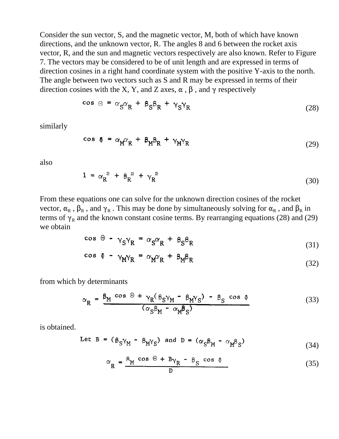Consider the sun vector, S, and the magnetic vector, M, both of which have known directions, and the unknown vector, R. The angles 8 and 6 between the rocket axis vector, R, and the sun and magnetic vectors respectively are also known. Refer to Figure 7. The vectors may be considered to be of unit length and are expressed in terms of direction cosines in a right hand coordinate system with the positive Y-axis to the north. The angle between two vectors such as S and R may be expressed in terms of their direction cosines with the X, Y, and Z axes,  $\alpha$ ,  $\beta$ , and  $\gamma$  respectively

$$
\cos \Theta = \alpha_S \alpha_R + \beta_S \beta_R + \gamma_S \gamma_R \tag{28}
$$

similarly

$$
\cos \Phi = \alpha_{M} \alpha_{R} + \beta_{M} \beta_{R} + \gamma_{M} \gamma_{R}
$$
 (29)

also

$$
1 = \alpha_R^2 + \beta_R^2 + \gamma_R^2 \tag{30}
$$

From these equations one can solve for the unknown direction cosines of the rocket vector,  $\alpha_R$ ,  $\beta_R$ , and  $\gamma_R$ . This may be done by simultaneously solving for  $\alpha_R$ , and  $\beta_R$  in terms of  $\gamma_R$  and the known constant cosine terms. By rearranging equations (28) and (29) we obtain

$$
\cos \Theta - \gamma_{S} \gamma_{R} = \alpha_{S} \alpha_{R} + \beta_{S} \beta_{R}
$$
 (31)

$$
\cos \Phi - \gamma_{M} \gamma_{R} = \alpha_{M} \alpha_{R} + \beta_{M} \beta_{R}
$$
 (32)

from which by determinants

$$
\alpha_{R} = \frac{\beta_{M} \cos \theta + \gamma_{R} (\beta_{S} \gamma_{M} - \beta_{M} \gamma_{S}) - \beta_{S} \cos \Phi}{(\alpha_{S} \beta_{M} - \alpha_{M} \beta_{S})}
$$
(33)

is obtained.

Let 
$$
B = (\beta_S \gamma_M - \beta_M \gamma_S)
$$
 and  $D = (\alpha_S \beta_M - \alpha_M \beta_S)$  (34)

$$
\alpha_{R} = \frac{R_{M} \cos \Theta + B_{\gamma_{R}} - B_{S} \cos \Phi}{D}
$$
 (35)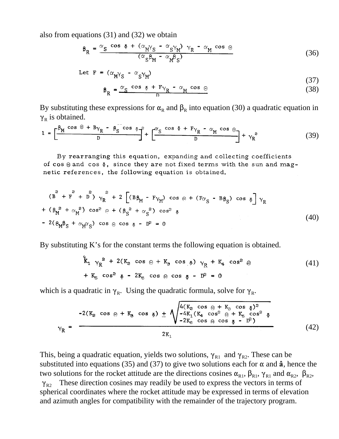also from equations (31) and (32) we obtain

$$
\beta_{R} = \frac{\alpha_{S} \cos \Phi + (\alpha_{M} \gamma_{S} - \alpha_{S} \gamma_{M}) \gamma_{R} - \alpha_{M} \cos \Theta}{(\alpha_{S} \beta_{M} - \alpha_{M} \beta_{S})}
$$
(36)

Let 
$$
F = (\alpha_M Y_S - \alpha_S Y_M)
$$
 (37)

$$
\beta_R = \frac{\alpha_S \cos \phi + F\gamma_R - \alpha_M \cos \theta}{D}
$$
 (38)

By substituting these expressions for  $\alpha_R$  and  $\beta_R$  into equation (30) a quadratic equation in  $\gamma_R$  is obtained.

$$
1 = \left[\frac{\beta_{M} \cos \theta + B\gamma_{R} - \beta_{S} \cos \varphi}{D}\right]^{2} + \left[\frac{\alpha_{S} \cos \varphi + F\gamma_{R} - \alpha_{M} \cos \theta}{D}\right] + \gamma_{R}^{2}
$$
(39)

By rearranging this equation, expanding and collecting coefficients of cos  $\Theta$  and cos  $\Phi$ , since they are not fixed terms with the sun and magnetic references, the following equation is obtained.

$$
(\overrightarrow{B} + \overrightarrow{F} + \overrightarrow{D}) \gamma_{R}^{2} + 2 \left[ (B\beta_{M} - F\gamma_{M}) \cos \theta + (F\alpha_{S} - B\beta_{S}) \cos \phi \right] \gamma_{R}
$$
  
+ 
$$
(\beta_{M}^{2} + \alpha_{M}^{2}) \cos^{2} \theta + (\beta_{S}^{2} + \alpha_{S}^{2}) \cos^{2} \phi
$$
  
- 
$$
2(\beta_{M}\beta_{S} + \alpha_{M}\alpha_{S}) \cos \theta \cos \phi - D^{2} = 0
$$
 (40)

By substituting K's for the constant terms the following equation is obtained.

$$
\hat{k}_1 \gamma_R^2 + 2(K_2 \cos \theta + K_3 \cos \theta) \gamma_R + K_4 \cos^2 \theta \qquad (41)
$$
  
+  $K_5 \cos^2 \phi - 2K_6 \cos \theta \cos \phi - D^2 = 0$ 

which is a quadratic in  $\gamma_R$ . Using the quadratic formula, solve for  $\gamma_R$ .

$$
\gamma_{R} = \frac{-2(K_{2} \cos \theta + K_{3} \cos \phi) + \sqrt{\frac{4(K_{2} \cos \theta + K_{3} \cos \phi)^{2}}{-4K_{1}(K_{4} \cos^{2} \theta + K_{5} \cos^{2} \phi)}}}{2K_{1}}
$$
(42)

This, being a quadratic equation, yields two solutions,  $\gamma_{R1}$  and  $\gamma_{R2}$ . These can be substituted into equations (35) and (37) to give two solutions each for  $\alpha$  and  $\hat{a}$ , hence the two solutions for the rocket attitude are the directions cosines  $\alpha_{R1}$ ,  $\beta_{R1}$ ,  $\gamma_{R1}$  and  $\alpha_{R2}$ ,  $\beta_{R2}$ ,  $\gamma_{R2}$  These direction cosines may readily be used to express the vectors in terms of spherical coordinates where the rocket attitude may be expressed in terms of elevation and azimuth angles for compatibility with the remainder of the trajectory program.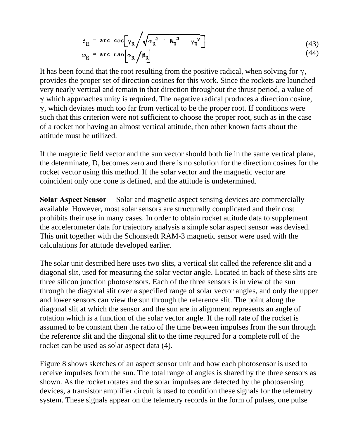$$
\theta_{R} = \arccos[\gamma_{R} / \sqrt{\alpha_{R}^{2} + \beta_{R}^{2} + \gamma_{R}^{2}}]
$$
\n
$$
\varphi_{R} = \arccan[\alpha_{R} / \beta_{R}]
$$
\n(43)

It has been found that the root resulting from the positive radical, when solving for  $\gamma$ , provides the proper set of direction cosines for this work. Since the rockets are launched very nearly vertical and remain in that direction throughout the thrust period, a value of  $\gamma$  which approaches unity is required. The negative radical produces a direction cosine,  $\gamma$ , which deviates much too far from vertical to be the proper root. If conditions were such that this criterion were not sufficient to choose the proper root, such as in the case of a rocket not having an almost vertical attitude, then other known facts about the attitude must be utilized.

If the magnetic field vector and the sun vector should both lie in the same vertical plane, the determinate, D, becomes zero and there is no solution for the direction cosines for the rocket vector using this method. If the solar vector and the magnetic vector are coincident only one cone is defined, and the attitude is undetermined.

**Solar Aspect Sensor** Solar and magnetic aspect sensing devices are commercially available. However, most solar sensors are structurally complicated and their cost prohibits their use in many cases. In order to obtain rocket attitude data to supplement the accelerometer data for trajectory analysis a simple solar aspect sensor was devised. This unit together with the Schonstedt RAM-3 magnetic sensor were used with the calculations for attitude developed earlier.

The solar unit described here uses two slits, a vertical slit called the reference slit and a diagonal slit, used for measuring the solar vector angle. Located in back of these slits are three silicon junction photosensors. Each of the three sensors is in view of the sun through the diagonal slit over a specified range of solar vector angles, and only the upper and lower sensors can view the sun through the reference slit. The point along the diagonal slit at which the sensor and the sun are in alignment represents an angle of rotation which is a function of the solar vector angle. If the roll rate of the rocket is assumed to be constant then the ratio of the time between impulses from the sun through the reference slit and the diagonal slit to the time required for a complete roll of the rocket can be used as solar aspect data (4).

Figure 8 shows sketches of an aspect sensor unit and how each photosensor is used to receive impulses from the sun. The total range of angles is shared by the three sensors as shown. As the rocket rotates and the solar impulses are detected by the photosensing devices, a transistor amplifier circuit is used to condition these signals for the telemetry system. These signals appear on the telemetry records in the form of pulses, one pulse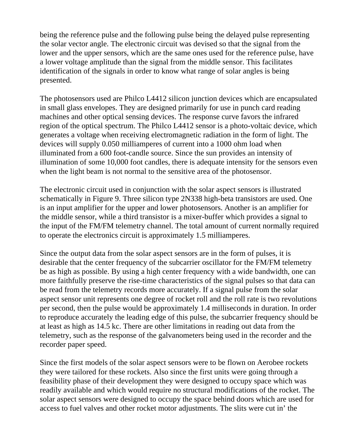being the reference pulse and the following pulse being the delayed pulse representing the solar vector angle. The electronic circuit was devised so that the signal from the lower and the upper sensors, which are the same ones used for the reference pulse, have a lower voltage amplitude than the signal from the middle sensor. This facilitates identification of the signals in order to know what range of solar angles is being presented.

The photosensors used are Philco L4412 silicon junction devices which are encapsulated in small glass envelopes. They are designed primarily for use in punch card reading machines and other optical sensing devices. The response curve favors the infrared region of the optical spectrum. The Philco L4412 sensor is a photo-voltaic device, which generates a voltage when receiving electromagnetic radiation in the form of light. The devices will supply 0.050 milliamperes of current into a 1000 ohm load when illuminated from a 600 foot-candle source. Since the sun provides an intensity of illumination of some 10,000 foot candles, there is adequate intensity for the sensors even when the light beam is not normal to the sensitive area of the photosensor.

The electronic circuit used in conjunction with the solar aspect sensors is illustrated schematically in Figure 9. Three silicon type 2N338 high-beta transistors are used. One is an input amplifier for the upper and lower photosensors. Another is an amplifier for the middle sensor, while a third transistor is a mixer-buffer which provides a signal to the input of the FM/FM telemetry channel. The total amount of current normally required to operate the electronics circuit is approximately 1.5 milliamperes.

Since the output data from the solar aspect sensors are in the form of pulses, it is desirable that the center frequency of the subcarrier oscillator for the FM/FM telemetry be as high as possible. By using a high center frequency with a wide bandwidth, one can more faithfully preserve the rise-time characteristics of the signal pulses so that data can be read from the telemetry records more accurately. If a signal pulse from the solar aspect sensor unit represents one degree of rocket roll and the roll rate is two revolutions per second, then the pulse would be approximately 1.4 milliseconds in duration. In order to reproduce accurately the leading edge of this pulse, the subcarrier frequency should be at least as high as 14.5 kc. There are other limitations in reading out data from the telemetry, such as the response of the galvanometers being used in the recorder and the recorder paper speed.

Since the first models of the solar aspect sensors were to be flown on Aerobee rockets they were tailored for these rockets. Also since the first units were going through a feasibility phase of their development they were designed to occupy space which was readily available and which would require no structural modifications of the rocket. The solar aspect sensors were designed to occupy the space behind doors which are used for access to fuel valves and other rocket motor adjustments. The slits were cut in' the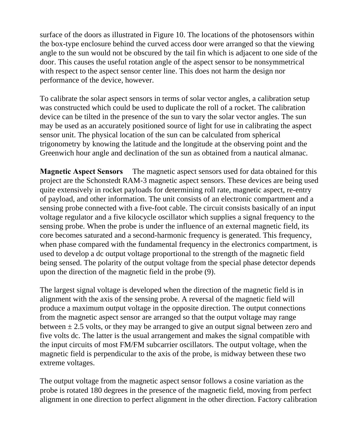surface of the doors as illustrated in Figure 10. The locations of the photosensors within the box-type enclosure behind the curved access door were arranged so that the viewing angle to the sun would not be obscured by the tail fin which is adjacent to one side of the door. This causes the useful rotation angle of the aspect sensor to be nonsymmetrical with respect to the aspect sensor center line. This does not harm the design nor performance of the device, however.

To calibrate the solar aspect sensors in terms of solar vector angles, a calibration setup was constructed which could be used to duplicate the roll of a rocket. The calibration device can be tilted in the presence of the sun to vary the solar vector angles. The sun may be used as an accurately positioned source of light for use in calibrating the aspect sensor unit. The physical location of the sun can be calculated from spherical trigonometry by knowing the latitude and the longitude at the observing point and the Greenwich hour angle and declination of the sun as obtained from a nautical almanac.

**Magnetic Aspect Sensors** The magnetic aspect sensors used for data obtained for this project are the Schonstedt RAM-3 magnetic aspect sensors. These devices are being used quite extensively in rocket payloads for determining roll rate, magnetic aspect, re-entry of payload, and other information. The unit consists of an electronic compartment and a sensing probe connected with a five-foot cable. The circuit consists basically of an input voltage regulator and a five kilocycle oscillator which supplies a signal frequency to the sensing probe. When the probe is under the influence of an external magnetic field, its core becomes saturated and a second-harmonic frequency is generated. This frequency, when phase compared with the fundamental frequency in the electronics compartment, is used to develop a dc output voltage proportional to the strength of the magnetic field being sensed. The polarity of the output voltage from the special phase detector depends upon the direction of the magnetic field in the probe (9).

The largest signal voltage is developed when the direction of the magnetic field is in alignment with the axis of the sensing probe. A reversal of the magnetic field will produce a maximum output voltage in the opposite direction. The output connections from the magnetic aspect sensor are arranged so that the output voltage may range between  $\pm$  2.5 volts, or they may be arranged to give an output signal between zero and five volts dc. The latter is the usual arrangement and makes the signal compatible with the input circuits of most FM/FM subcarrier oscillators. The output voltage, when the magnetic field is perpendicular to the axis of the probe, is midway between these two extreme voltages.

The output voltage from the magnetic aspect sensor follows a cosine variation as the probe is rotated 180 degrees in the presence of the magnetic field, moving from perfect alignment in one direction to perfect alignment in the other direction. Factory calibration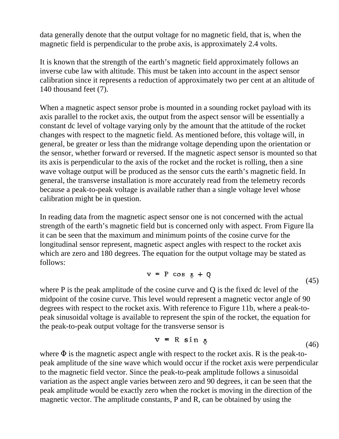data generally denote that the output voltage for no magnetic field, that is, when the magnetic field is perpendicular to the probe axis, is approximately 2.4 volts.

It is known that the strength of the earth's magnetic field approximately follows an inverse cube law with altitude. This must be taken into account in the aspect sensor calibration since it represents a reduction of approximately two per cent at an altitude of 140 thousand feet (7).

When a magnetic aspect sensor probe is mounted in a sounding rocket payload with its axis parallel to the rocket axis, the output from the aspect sensor will be essentially a constant dc level of voltage varying only by the amount that the attitude of the rocket changes with respect to the magnetic field. As mentioned before, this voltage will, in general, be greater or less than the midrange voltage depending upon the orientation or the sensor, whether forward or reversed. If the magnetic aspect sensor is mounted so that its axis is perpendicular to the axis of the rocket and the rocket is rolling, then a sine wave voltage output will be produced as the sensor cuts the earth's magnetic field. In general, the transverse installation is more accurately read from the telemetry records because a peak-to-peak voltage is available rather than a single voltage level whose calibration might be in question.

In reading data from the magnetic aspect sensor one is not concerned with the actual strength of the earth's magnetic field but is concerned only with aspect. From Figure lla it can be seen that the maximum and minimum points of the cosine curve for the longitudinal sensor represent, magnetic aspect angles with respect to the rocket axis which are zero and 180 degrees. The equation for the output voltage may be stated as follows:

$$
v = P \cos \Phi + Q \tag{45}
$$

where P is the peak amplitude of the cosine curve and Q is the fixed dc level of the midpoint of the cosine curve. This level would represent a magnetic vector angle of 90 degrees with respect to the rocket axis. With reference to Figure 11b, where a peak-topeak sinusoidal voltage is available to represent the spin of the rocket, the equation for the peak-to-peak output voltage for the transverse sensor is

$$
v = R \sin \phi \tag{46}
$$

where  $\Phi$  is the magnetic aspect angle with respect to the rocket axis. R is the peak-topeak amplitude of the sine wave which would occur if the rocket axis were perpendicular to the magnetic field vector. Since the peak-to-peak amplitude follows a sinusoidal variation as the aspect angle varies between zero and 90 degrees, it can be seen that the peak amplitude would be exactly zero when the rocket is moving in the direction of the magnetic vector. The amplitude constants, P and R, can be obtained by using the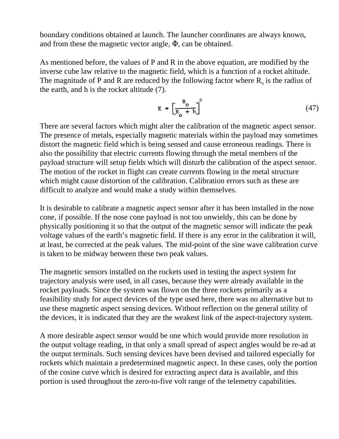boundary conditions obtained at launch. The launcher coordinates are always known, and from these the magnetic vector angle,  $\Phi$ , can be obtained.

As mentioned before, the values of P and R in the above equation, are modified by the inverse cube law relative to the magnetic field, which is a function of a rocket altitude. The magnitude of P and R are reduced by the following factor where  $R_0$  is the radius of the earth, and h is the rocket altitude (7).

$$
K = \left[\frac{R_o}{R_o + h}\right]^3 \tag{47}
$$

There are several factors which might alter the calibration of the magnetic aspect sensor. The presence of metals, especially magnetic materials within the payload may sometimes distort the magnetic field which is being sensed and cause erroneous readings. There is also the possibility that electric currents flowing through the metal members of the payload structure will setup fields which will disturb the calibration of the aspect sensor. The motion of the rocket in flight can create currents flowing in the metal structure which might cause distortion of the calibration. Calibration errors such as these are difficult to analyze and would make a study within themselves.

It is desirable to calibrate a magnetic aspect sensor after it has been installed in the nose cone, if possible. If the nose cone payload is not too unwieldy, this can be done by physically positioning it so that the output of the magnetic sensor will indicate the peak voltage values of the earth's magnetic field. If there is any error in the calibration it will, at least, be corrected at the peak values. The mid-point of the sine wave calibration curve is taken to be midway between these two peak values.

The magnetic sensors installed on the rockets used in testing the aspect system for trajectory analysis were used, in all cases, because they were already available in the rocket payloads. Since the system was flown on the three rockets primarily as a feasibility study for aspect devices of the type used here, there was no alternative but to use these magnetic aspect sensing devices. Without reflection on the general utility of the devices, it is indicated that they are the weakest link of the aspect-trajectory system.

A more desirable aspect sensor would be one which would provide more resolution in the output voltage reading, in that only a small spread of aspect angles would be re-ad at the output terminals. Such sensing devices have been devised and tailored especially for rockets which maintain a predetermined magnetic aspect. In these cases, only the portion of the cosine curve which is desired for extracting aspect data is available, and this portion is used throughout the zero-to-five volt range of the telemetry capabilities.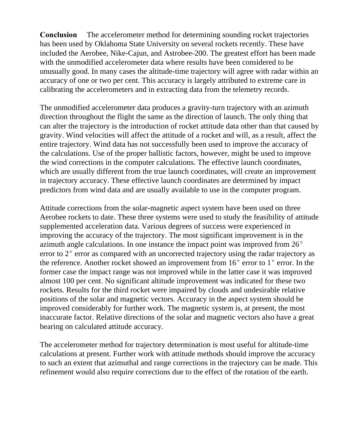**Conclusion** The accelerometer method for determining sounding rocket trajectories has been used by Oklahoma State University on several rockets recently. These have included the Aerobee, Nike-Cajun, and Astrobee-200. The greatest effort has been made with the unmodified accelerometer data where results have been considered to be unusually good. In many cases the altitude-time trajectory will agree with radar within an accuracy of one or two per cent. This accuracy is largely attributed to extreme care in calibrating the accelerometers and in extracting data from the telemetry records.

The unmodified accelerometer data produces a gravity-turn trajectory with an azimuth direction throughout the flight the same as the direction of launch. The only thing that can alter the trajectory is the introduction of rocket attitude data other than that caused by gravity. Wind velocities will affect the attitude of a rocket and will, as a result, affect the entire trajectory. Wind data has not successfully been used to improve the accuracy of the calculations. Use of the proper ballistic factors, however, might be used to improve the wind corrections in the computer calculations. The effective launch coordinates, which are usually different from the true launch coordinates, will create an improvement in trajectory accuracy. These effective launch coordinates are determined by impact predictors from wind data and are usually available to use in the computer program.

Attitude corrections from the solar-magnetic aspect system have been used on three Aerobee rockets to date. These three systems were used to study the feasibility of attitude supplemented acceleration data. Various degrees of success were experienced in improving the accuracy of the trajectory. The most significant improvement is in the azimuth angle calculations. In one instance the impact point was improved from  $26^{\circ}$ error to  $2^{\circ}$  error as compared with an uncorrected trajectory using the radar trajectory as the reference. Another rocket showed an improvement from  $16^{\circ}$  error to  $1^{\circ}$  error. In the former case the impact range was not improved while in the latter case it was improved almost 100 per cent. No significant altitude improvement was indicated for these two rockets. Results for the third rocket were impaired by clouds and undesirable relative positions of the solar and magnetic vectors. Accuracy in the aspect system should be improved considerably for further work. The magnetic system is, at present, the most inaccurate factor. Relative directions of the solar and magnetic vectors also have a great bearing on calculated attitude accuracy.

The accelerometer method for trajectory determination is most useful for altitude-time calculations at present. Further work with attitude methods should improve the accuracy to such an extent that azimuthal and range corrections in the trajectory can be made. This refinement would also require corrections due to the effect of the rotation of the earth.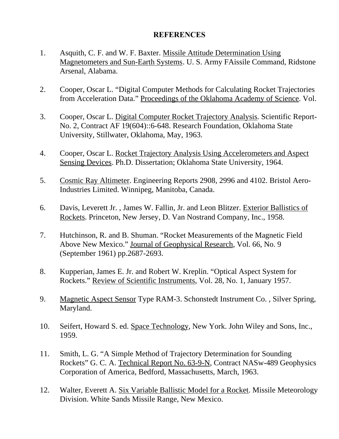## **REFERENCES**

- 1. Asquith, C. F. and W. F. Baxter. Missile Attitude Determination Using Magnetometers and Sun-Earth Systems. U. S. Army FAissile Command, Ridstone Arsenal, Alabama.
- 2. Cooper, Oscar L. "Digital Computer Methods for Calculating Rocket Trajectories from Acceleration Data." Proceedings of the Oklahoma Academy of Science. Vol.
- 3. Cooper, Oscar L. Digital Computer Rocket Trajectory Analysis. Scientific Report-No. 2, Contract AF 19(604)::6-648. Research Foundation, Oklahoma State University, Stillwater, Oklahoma, May, 1963.
- 4. Cooper, Oscar L. Rocket Trajectory Analysis Using Accelerometers and Aspect Sensing Devices. Ph.D. Dissertation; Oklahoma State University, 1964.
- 5. Cosmic Ray Altimeter. Engineering Reports 2908, 2996 and 4102. Bristol Aero-Industries Limited. Winnipeg, Manitoba, Canada.
- 6. Davis, Leverett Jr. , James W. Fallin, Jr. and Leon Blitzer. Exterior Ballistics of Rockets. Princeton, New Jersey, D. Van Nostrand Company, Inc., 1958.
- 7. Hutchinson, R. and B. Shuman. "Rocket Measurements of the Magnetic Field Above New Mexico." Journal of Geophysical Research, Vol. 66, No. 9 (September 1961) pp.2687-2693.
- 8. Kupperian, James E. Jr. and Robert W. Kreplin. "Optical Aspect System for Rockets." Review of Scientific Instruments, Vol. 28, No. 1, January 1957.
- 9. Magnetic Aspect Sensor Type RAM-3. Schonstedt Instrument Co. , Silver Spring, Maryland.
- 10. Seifert, Howard S. ed. Space Technology, New York. John Wiley and Sons, Inc., 1959.
- 11. Smith, L. G. "A Simple Method of Trajectory Determination for Sounding Rockets" G. C. A. Technical Report No. 63-9-N, Contract NASw-489 Geophysics Corporation of America, Bedford, Massachusetts, March, 1963.
- 12. Walter, Everett A. Six Variable Ballistic Model for a Rocket. Missile Meteorology Division. White Sands Missile Range, New Mexico.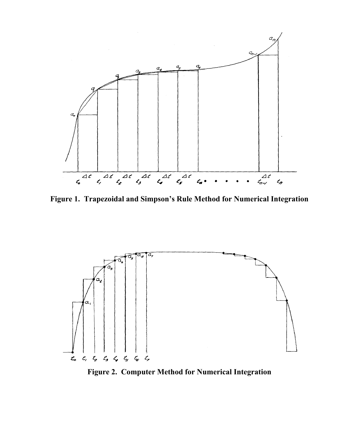

**Figure 1. Trapezoidal and Simpson's Rule Method for Numerical Integration**



**Figure 2. Computer Method for Numerical Integration**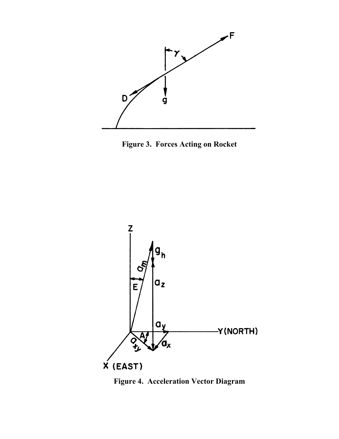





**Figure 4. Acceleration Vector Diagram**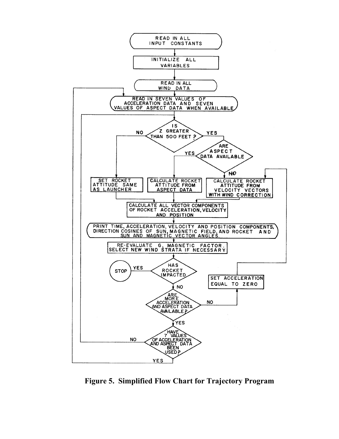

**Figure 5. Simplified Flow Chart for Trajectory Program**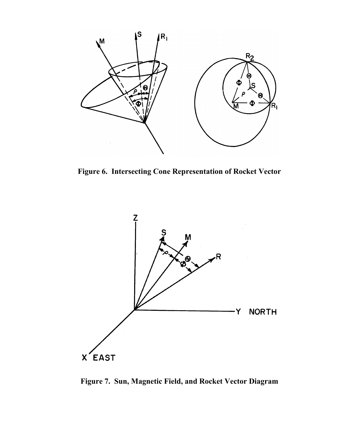

**Figure 6. Intersecting Cone Representation of Rocket Vector**



**Figure 7. Sun, Magnetic Field, and Rocket Vector Diagram**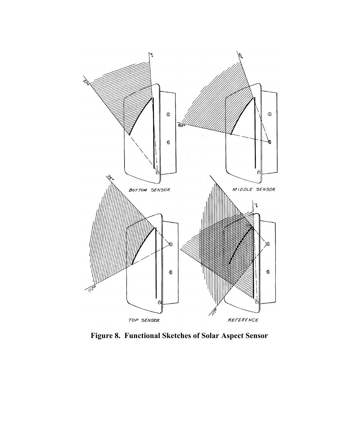

**Figure 8. Functional Sketches of Solar Aspect Sensor**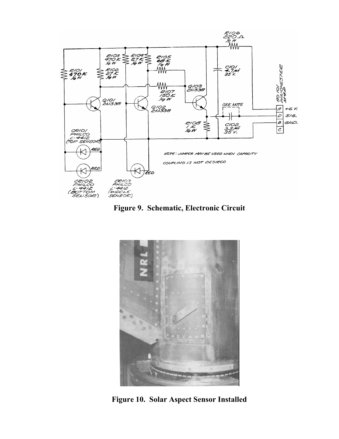





**Figure 10. Solar Aspect Sensor Installed**